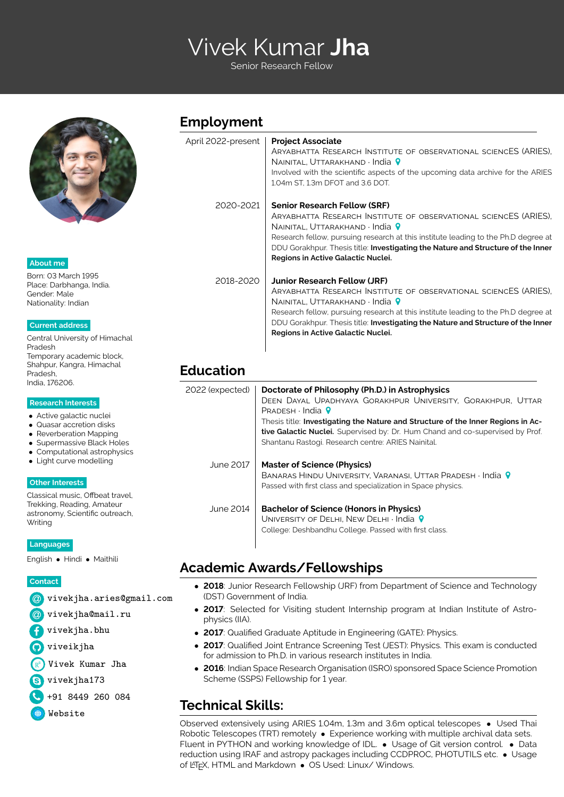# START Vivek Kumar **Jha**

Senior Research Fellow



**About me**

Born: 03 March 1995 [Place: Darbhanga, India.](https://en.wikipedia.org/wiki/Darbhanga) Gender: Male Nationality: Indian

#### **Current address**

[Central University of Himachal](http://www.cuhimachal.ac.in/) [Pradesh](http://www.cuhimachal.ac.in/) Temporary academic block, Shahpur, Kangra, Himachal Pradesh, India, 176206.

#### **Research Interests**

- Active galactic nuclei
- Quasar accretion disks
- Reverberation Mapping
- Supermassive Black Holes
- Computational astrophysics
- Light curve modelling

#### **Other Interests**

Classical music, Offbeat travel, Trekking, Reading, Amateur astronomy, Scientific outreach, **Writing** 

**Languages**

English • Hindi • Maithili

**Contact**

|  |  | @ vivekjha.aries@gmail.com |  |
|--|--|----------------------------|--|
|--|--|----------------------------|--|

- [ [vivekjha@mail.ru](mailto:vivekjha@mail.ru)
- [vivekjha.bhu](http://www.facebook.com/vivekjha.bhu)
- **O**[viveikjha](http://www.github.com/viveikjha)
- [Vivek Kumar Jha](https://www.researchgate.net/profile/Vivek_Jha10)
- s vivekjha173
- Ó +91 8449 260 084

[Website](https://viveikjha.github.io/)

#### **Employment**

| April 2022-present | <b>Project Associate</b><br>ARYABHATTA RESEARCH INSTITUTE OF OBSERVATIONAL SCIENCES (ARIES).<br>NAINITAL, UTTARAKHAND · India 9<br>Involved with the scientific aspects of the upcoming data archive for the ARIES<br>1.04m ST, 1.3m DFOT and 3.6 DOT. |
|--------------------|--------------------------------------------------------------------------------------------------------------------------------------------------------------------------------------------------------------------------------------------------------|
| 2020-2021          | <b>Senior Research Fellow (SRF)</b><br>ARYABHATTA RESEARCH INSTITUTE OF OBSERVATIONAL SCIENCES (ARIES).                                                                                                                                                |
|                    | NAINITAL, UTTARAKHAND · India 9                                                                                                                                                                                                                        |
|                    | Research fellow, pursuing research at this institute leading to the Ph.D degree at<br>DDU Gorakhpur. Thesis title: Investigating the Nature and Structure of the Inner<br>Regions in Active Galactic Nuclei.                                           |
| 2018-2020          | <b>Junior Research Fellow (JRF)</b>                                                                                                                                                                                                                    |
|                    | ARYABHATTA RESEARCH INSTITUTE OF OBSERVATIONAL SCIENCES (ARIES).<br>NAINITAL, UTTARAKHAND $\cdot$ India $\bigcirc$                                                                                                                                     |
|                    | Research fellow, pursuing research at this institute leading to the Ph.D degree at<br>DDU Gorakhpur. Thesis title: Investigating the Nature and Structure of the Inner<br>Regions in Active Galactic Nuclei.                                           |
|                    |                                                                                                                                                                                                                                                        |

# **Education**

| 2022 (expected) | Doctorate of Philosophy (Ph.D.) in Astrophysics<br>DEEN DAYAL UPADHYAYA GORAKHPUR UNIVERSITY, GORAKHPUR, UTTAR<br>$P$ RADESH · India $\bullet$<br>Thesis title: Investigating the Nature and Structure of the Inner Regions in Ac-<br>tive Galactic Nuclei. Supervised by: Dr. Hum Chand and co-supervised by Prof.<br>Shantanu Rastogi. Research centre: ARIES Nainital. |
|-----------------|---------------------------------------------------------------------------------------------------------------------------------------------------------------------------------------------------------------------------------------------------------------------------------------------------------------------------------------------------------------------------|
| June 2017       | <b>Master of Science (Physics)</b><br>BANARAS HINDU UNIVERSITY, VARANASI, UTTAR PRADESH · India 9<br>Passed with first class and specialization in Space physics.                                                                                                                                                                                                         |
| June 2014       | <b>Bachelor of Science (Honors in Physics)</b><br>UNIVERSITY OF DELHI, NEW DELHI $\cdot$ India 9<br>College: Deshbandhu College. Passed with first class.                                                                                                                                                                                                                 |

# **Academic Awards/Fellowships**

- **2018**: Junior Research Fellowship (JRF) from Department of Science and Technology (DST) Government of India.
- **2017**: Selected for Visiting student Internship program at Indian Institute of Astrophysics (IIA).
- 2017: Qualified Graduate Aptitude in Engineering (GATE): Physics.
- 2017: Qualified Joint Entrance Screening Test (JEST): Physics. This exam is conducted for admission to Ph.D. in various research institutes in India.
- **2016**: Indian Space Research Organisation (ISRO) sponsored Space Science Promotion Scheme (SSPS) Fellowship for 1 year.

# **Technical Skills:**

Observed extensively using ARIES 1.04m, 1.3m and 3.6m optical telescopes • Used Thai Robotic Telescopes (TRT) remotely • Experience working with multiple archival data sets. Fluent in PYTHON and working knowledge of IDL. • Usage of Git version control. • Data reduction using IRAF and astropy packages including CCDPROC, PHOTUTILS etc. • Usage of LATEX, HTML and Markdown • OS Used: Linux/ Windows.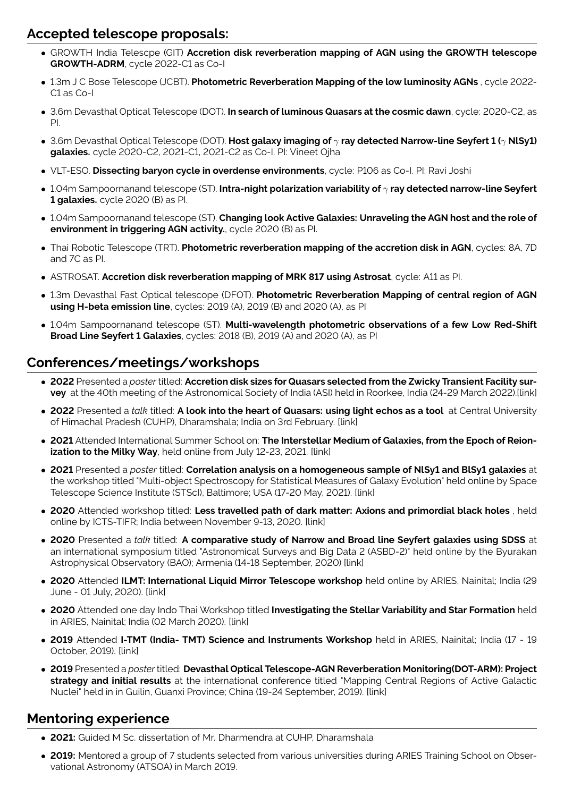## **Accepted telescope proposals:**

- GROWTH India Telescpe (GIT) **Accretion disk reverberation mapping of AGN using the GROWTH telescope GROWTH-ADRM**, cycle 2022-C1 as Co-I
- 1.3m J C Bose Telescope (JCBT). **Photometric Reverberation Mapping of the low luminosity AGNs** , cycle 2022- C1 as Co-I
- 3.6m Devasthal Optical Telescope (DOT). **In search of luminous Quasars at the cosmic dawn**, cycle: 2020-C2, as PI.
- 3.6m Devasthal Optical Telescope (DOT). **Host galaxy imaging of** γ **ray detected Narrow-line Seyfert 1 (**γ **NlSy1) galaxies.** cycle 2020-C2, 2021-C1, 2021-C2 as Co-I. PI: Vineet Ojha
- VLT-ESO. **Dissecting baryon cycle in overdense environments**, cycle: P106 as Co-I. PI: Ravi Joshi
- 1.04m Sampoornanand telescope (ST). **Intra-night polarization variability of** γ **ray detected narrow-line Seyfert 1 galaxies.** cycle 2020 (B) as PI.
- 1.04m Sampoornanand telescope (ST). **Changing look Active Galaxies: Unraveling the AGN host and the role of environment in triggering AGN activity.**, cycle 2020 (B) as PI.
- Thai Robotic Telescope (TRT). **Photometric reverberation mapping of the accretion disk in AGN**, cycles: 8A, 7D and 7C as PI.
- ASTROSAT. **Accretion disk reverberation mapping of MRK 817 using Astrosat**, cycle: A11 as PI.
- 1.3m Devasthal Fast Optical telescope (DFOT). **Photometric Reverberation Mapping of central region of AGN using H-beta emission line**, cycles: 2019 (A), 2019 (B) and 2020 (A), as PI
- 1.04m Sampoornanand telescope (ST). **Multi-wavelength photometric observations of a few Low Red-Shift Broad Line Seyfert 1 Galaxies**, cycles: 2018 (B), 2019 (A) and 2020 (A), as PI

### **Conferences/meetings/workshops**

- **2022** Presented a *poster* titled: **Accretion disk sizes for Quasars selected from the Zwicky Transient Facility survey** at the 40th meeting of the Astronomical Society of India (ASI) held in Roorkee, India (24-29 March 2022)[.\[link\]](https://astron-soc.in/asi2022/abstract_details/ASI2022_88)
- **2022** Presented a *talk* titled: **A look into the heart of Quasars: using light echos as a tool** at Central University of Himachal Pradesh (CUHP), Dharamshala; India on 3rd February. [\[link\]](https://www.youtube.com/channel/UC8c4ytS_7PiUd8mCi_zg8jg/)
- **2021** Attended International Summer School on: **The Interstellar Medium of Galaxies, from the Epoch of Reionization to the Milky Way**, held online from July 12-23, 2021. [\[link\]](https://ismgalaxies2021.sciencesconf.org/)
- **2021** Presented a *poster* titled: **Correlation analysis on a homogeneous sample of NlSy1 and BlSy1 galaxies** at the workshop titled "Multi-object Spectroscopy for Statistical Measures of Galaxy Evolution" held online by Space Telescope Science Institute (STScI), Baltimore; USA (17-20 May, 2021). [\[link\]](https://www.stsci.edu/contents/events/stsci/2021/may/multi-object-spectroscopy-for-statistical-measures-of-galaxy-evolution)
- **2020** Attended workshop titled: **Less travelled path of dark matter: Axions and primordial black holes** , held online by ICTS-TIFR; India between November 9-13, 2020. [\[link\]](https://www.icts.res.in/program/ltpdm2020)
- **2020** Presented a *talk* titled: **A comparative study of Narrow and Broad line Seyfert galaxies using SDSS** at an international symposium titled "Astronomical Surveys and Big Data 2 (ASBD-2)" held online by the Byurakan Astrophysical Observatory (BAO); Armenia (14-18 September, 2020) [\[link\]](https://www.bao.am/meetings/meetings/ASBD2/)
- **2020** Attended **ILMT: International Liquid Mirror Telescope workshop** held online by ARIES, Nainital; India (29 June - 01 July, 2020). [\[link\]](https://old.aries.res.in/~ilmt/)
- **2020** Attended one day Indo Thai Workshop titled **Investigating the Stellar Variability and Star Formation** held in ARIES, Nainital; India (02 March 2020). [\[link\]](https://old.aries.res.in/indo-thai/)
- **2019** Attended **I-TMT (India- TMT) Science and Instruments Workshop** held in ARIES, Nainital; India (17 19 October, 2019). [\[link\]](https://old.aries.res.in/~tmt/)
- **2019** Presented a *poster* titled: **Devasthal Optical Telescope-AGN Reverberation Monitoring(DOT-ARM): Project strategy and initial results** at the international conference titled "Mapping Central Regions of Active Galactic Nuclei" held in in Guilin, Guanxi Province; China (19-24 September, 2019). [\[link\]](http://dx.doi.org/10.13140/RG.2.2.17356.97927)

### **Mentoring experience**

- **2021:** Guided M Sc. dissertation of Mr. Dharmendra at CUHP, Dharamshala
- **2019:** Mentored a group of 7 students selected from various universities during ARIES Training School on Observational Astronomy (ATSOA) in March 2019.